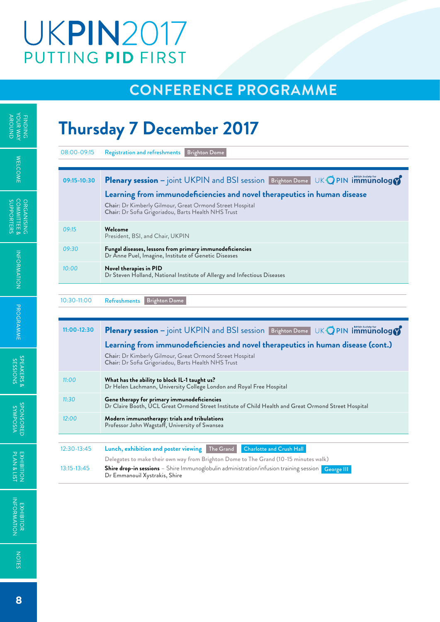# **UKPIN2017** PUTTING PID FIRST

### **Conference programme**

## **Thursday 7 December 2017**

| 08:00-09:15                  | <b>Brighton Dome</b><br><b>Registration and refreshments</b>                                                                                                                              |
|------------------------------|-------------------------------------------------------------------------------------------------------------------------------------------------------------------------------------------|
| 09:15-10:30                  | UK OPIN immunology<br><b>Plenary session</b> – joint UKPIN and BSI session Brighton Dome<br>Learning from immunodeficiencies and novel therapeutics in human disease                      |
|                              | <b>Chair:</b> Dr Kimberly Gilmour, Great Ormond Street Hospital<br>Chair: Dr Sofia Grigoriadou, Barts Health NHS Trust                                                                    |
| 09:15                        | Welcome<br>President, BSI, and Chair, UKPIN                                                                                                                                               |
| 09:30                        | Fungal diseases, lessons from primary immunodeficiencies<br>Dr Anne Puel, Imagine, Institute of Genetic Diseases                                                                          |
| 10:00                        | Novel therapies in PID<br>Dr Steven Holland, National Institute of Allergy and Infectious Diseases                                                                                        |
|                              | <b>Brighton Dome</b><br>Refreshments                                                                                                                                                      |
| $11:00-12:30$                | <b>Plenary session</b> – joint UKPIN and BSI session Brighton Dome                                                                                                                        |
|                              | Learning from immunodeficiencies and novel therapeutics in human disease (cont.)<br>Chair: Dr Kimberly Gilmour, Great Ormond Street Hospital                                              |
|                              | Chair: Dr Sofia Grigoriadou, Barts Health NHS Trust                                                                                                                                       |
| 11:00                        | What has the ability to block IL-1 taught us?<br>Dr Helen Lachmann, University College London and Royal Free Hospital                                                                     |
| 11:30                        | Gene therapy for primary immunodeficiencies<br>Dr Claire Booth, UCL Great Ormond Street Institute of Child Health and Great Ormond Street Hospital                                        |
| 12:00                        | UK OPIN immunology<br>Modern immunotherapy: trials and tribulations<br>Professor John Wagstaff, University of Swansea                                                                     |
|                              | <b>Lunch, exhibition and poster viewing</b> The Grand<br><b>Charlotte and Crush Hall</b>                                                                                                  |
| $10:30-11:00$<br>12:30-13:45 | Delegates to make their own way from Brighton Dome to The Grand (10-15 minutes walk)<br>Shire drop-in sessions - Shire Immunoglobulin administration/infusion training session George III |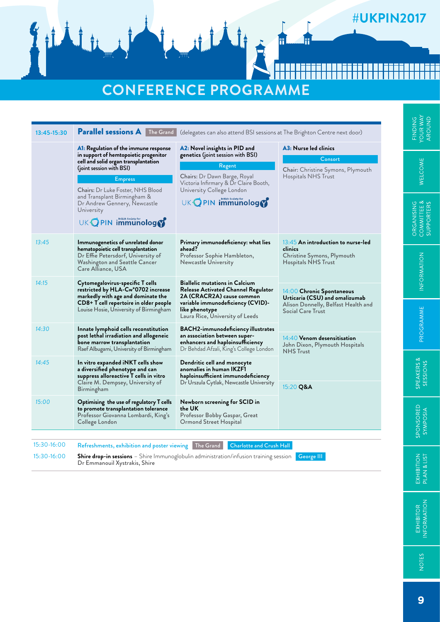### **#UKPIN2017**

**THE** 

**TH** 

## **Conference programme**

| 13:45-15:30 | <b>Parallel sessions A</b> The Grand<br>(delegates can also attend BSI sessions at The Brighton Centre next door)                                                                                                                                                                                                   |                                                                                                                                                                                                          |                                                                                                                           | FINDIN<br>YOUR W.<br>ADOLINI                       |  |
|-------------|---------------------------------------------------------------------------------------------------------------------------------------------------------------------------------------------------------------------------------------------------------------------------------------------------------------------|----------------------------------------------------------------------------------------------------------------------------------------------------------------------------------------------------------|---------------------------------------------------------------------------------------------------------------------------|----------------------------------------------------|--|
|             | A1: Regulation of the immune response<br>in support of hemtopoietic progenitor<br>cell and solid organ transplantation<br>(joint session with BSI)<br><b>Empress</b><br><b>Chairs:</b> Dr Luke Foster, NHS Blood<br>and Transplant Birmingham &<br>Dr Andrew Gennery, Newcastle<br>University<br>UK OPIN immunology | A2: Novel insights in PID and<br>genetics (joint session with BSI)<br>Regent<br>Chairs: Dr Dawn Barge, Royal<br>Victoria Infirmary & Dr Claire Booth,<br>University College London<br>UK OPIN immunology | A3: Nurse led clinics<br>Consort<br>Chair: Christine Symons, Plymouth<br>Hospitals NHS Trust                              | WELCOME<br>ORGANISING<br>COMMITTEE &<br>CULDOOTTES |  |
| 13:45       | Immunogenetics of unrelated donor<br>hematopoietic cell transplantation<br>Dr Effie Petersdorf, University of<br>Washington and Seattle Cancer<br>Care Alliance, USA                                                                                                                                                | Primary immunodeficiency: what lies<br>ahead?<br>Professor Sophie Hambleton,<br>Newcastle University                                                                                                     | $13:45$ An introduction to nurse-led<br>clinics<br>Christine Symons, Plymouth<br>Hospitals NHS Trust                      | INFORMATION                                        |  |
| 14:15       | Cytomegalovirus-specific T cells<br>restricted by HLA-Cw*0702 increase<br>markedly with age and dominate the<br>CD8+ T cell repertoire in older people<br>Louise Hosie, University of Birmingham                                                                                                                    | <b>Biallelic mutations in Calcium</b><br>Release Activated Channel Regulator<br>2A (CRACR2A) cause common<br>variable immunodeficiency (CVID)-<br>like phenotype<br>Laura Rice, University of Leeds      | $14.00$ Chronic Spontaneous<br>Urticaria (CSU) and omalizumab<br>Alison Donnelly, Belfast Health and<br>Social Care Trust |                                                    |  |
| 14:30       | Innate lymphoid cells reconstitution<br>post lethal irradiation and allogeneic<br>bone marrow transplantation<br>Raef Albugami, University of Birmingham                                                                                                                                                            | BACH2-immunodeficiency illustrates<br>an association between super-<br>enhancers and haploinsufficiency<br>Dr Behdad Afzali, King's College London                                                       | 14:40 Venom desensitisation<br>John Dixon, Plymouth Hospitals<br><b>NHS</b> Trust                                         | PROGRAMME                                          |  |
| 14:45       | In vitro expanded iNKT cells show<br>a diversified phenotype and can<br>suppress alloreactive T cells in vitro<br>Claire M. Dempsey, University of<br>Birmingham                                                                                                                                                    | Dendritic cell and monocyte<br>anomalies in human IKZF1<br>haploinsufficient immunodeficiency<br>Dr Urszula Cytlak, Newcastle University                                                                 | 15:20 Q&A                                                                                                                 | SPEAKERS &<br>SESSIONS                             |  |
| 15:00       | Optimising the use of regulatory T cells<br>to promote transplantation tolerance<br>Professor Giovanna Lombardi, King's<br>College London                                                                                                                                                                           | Newborn screening for SCID in<br>the UK<br>Professor Bobby Gaspar, Great<br>Ormond Street Hospital                                                                                                       |                                                                                                                           | SPONSORED<br>SYMPOSIA                              |  |
| 15:30-16:00 | <b>Refreshments, exhibition and poster viewing</b> The Grand                                                                                                                                                                                                                                                        | <b>Charlotte and Crush Hall</b>                                                                                                                                                                          |                                                                                                                           |                                                    |  |
| 15:30-16:00 | Dr Emmanouil Xystrakis, Shire                                                                                                                                                                                                                                                                                       | Shire drop-in sessions - Shire Immunoglobulin administration/infusion training session                                                                                                                   | George III                                                                                                                | EXHIBITION<br>PLAN & LIST                          |  |

**NOTES** 

EXHIBITOR<br>INFORMATION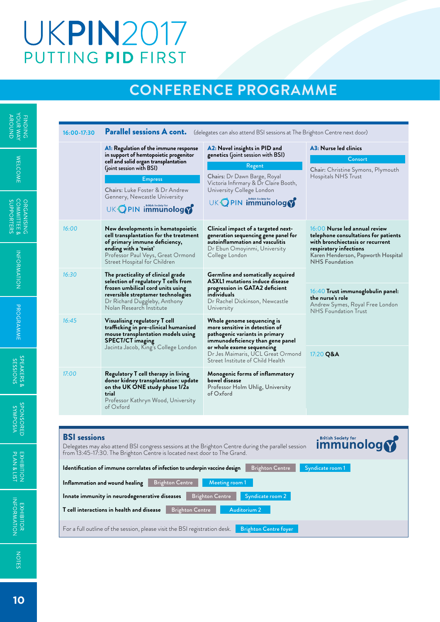# **UKPIN2017** PUTTING PID FIRST

### **Conference programme**

| NAM BLOCK<br><b>AROUND</b>                  | 16:00-17:30         |                                                                                                                                                                                                                                                                                                                           | Parallel sessions A cont. (delegates can also attend BSI sessions at The Brighton Centre next door)                                                                                                      |                                                                                                                                       |
|---------------------------------------------|---------------------|---------------------------------------------------------------------------------------------------------------------------------------------------------------------------------------------------------------------------------------------------------------------------------------------------------------------------|----------------------------------------------------------------------------------------------------------------------------------------------------------------------------------------------------------|---------------------------------------------------------------------------------------------------------------------------------------|
| <b>WELCOME</b>                              |                     | A1: Regulation of the immune response<br>in support of hemtopoietic progenitor<br>cell and solid organ transplantation<br>(joint session with BSI)<br><b>Empress</b><br><b>Chairs:</b> Luke Foster & Dr Andrew<br>Gennery, Newcastle University                                                                           | A2: Novel insights in PID and<br>genetics (joint session with BSI)<br>Regent<br>Chairs: Dr Dawn Barge, Royal<br>Victoria Infirmary & Dr Claire Booth,<br>University College London<br>UK OPIN immunology | A3: Nurse led clinics<br>Consort<br>Chair: Christine Symons, Plymouth<br>Hospitals NHS Trust                                          |
| ORGANISING<br>  COMMITTEE &<br>  SUPPORTERS | 16:00               | UK OPIN immunology<br>New developments in hematopoietic<br>cell transplantation for the treatment<br>of primary immune deficiency,<br>ending with a 'twist'                                                                                                                                                               | Clinical impact of a targeted next-<br>generation sequencing gene panel for<br>autoinflammation and vasculitis<br>Dr Ebun Omoyinmi, University                                                           | $16:00$ Nurse led annual review<br>telephone consultations for patients<br>with bronchiectasis or recurrent<br>respiratory infections |
| INFORMATION                                 | 16:30               | Professor Paul Veys, Great Ormond<br>Street Hospital for Children<br>The practicality of clinical grade<br>selection of regulatory T cells from<br>frozen umbilical cord units using<br>reversible streptamer technologies                                                                                                | College London<br>Germline and somatically acquired<br><b>ASXL1</b> mutations induce disease<br>progression in GATA2 deficient<br>individuals                                                            | Karen Henderson, Papworth Hospital<br><b>NHS</b> Foundation<br>16:40 Trust immunoglobulin panel:                                      |
| PROGRAMME                                   | 16:45               | Dr Richard Duggleby, Anthony<br>Nolan Research Institute<br>Visualising regulatory T cell<br>trafficking in pre-clinical humanised<br>mouse transplantation models using<br><b>SPECT/CT imaging</b>                                                                                                                       | Dr Rachel Dickinson, Newcastle<br>University<br>Whole genome sequencing is<br>more sensitive in detection of<br>pathogenic variants in primary<br>immunodeficiency than gene panel                       | the nurse's role<br>Andrew Symes, Royal Free London<br><b>NHS</b> Foundation Trust                                                    |
| SPEAKERS &<br>SKOISSES                      | 17:00               | Jacinta Jacob, King's College London<br>Regulatory T cell therapy in living<br>donor kidney transplantation: update<br>on the UK ONE study phase 1/2a                                                                                                                                                                     | or whole exome sequencing<br>Dr Jes Maimaris, UCL Great Ormond<br>Street Institute of Child Health<br>Monogenic forms of inflammatory<br>bowel disease<br>Professor Holm Uhlig, University               | 17:20 Q&A                                                                                                                             |
| <b>VISOAWAS</b><br>CIBOSNOAS                | <b>BSI</b> sessions | trial<br>Professor Kathryn Wood, University<br>of Oxford                                                                                                                                                                                                                                                                  | of Oxford                                                                                                                                                                                                | <b>British Society for</b>                                                                                                            |
| EXHIBITION<br>PLAN & LIST                   |                     | Delegates may also attend BSI congress sessions at the Brighton Centre during the parallel session<br>from 13:45-17:30. The Brighton Centre is located next door to The Grand.<br>Identification of immune correlates of infection to underpin vaccine design<br>Inflammation and wound healing<br><b>Brighton Centre</b> | <b>Brighton Centre</b><br>Meeting room 1                                                                                                                                                                 | <b>immunology</b><br>Syndicate room 1                                                                                                 |
| EXHIBITOR<br>INFORMATION                    |                     | Innate immunity in neurodegenerative diseases<br><b>Brighton Centre</b><br>T cell interactions in health and disease<br>For a full outline of the session, please visit the BSI registration desk.                                                                                                                        | Syndicate room 2<br><b>Brighton Centre</b><br>Auditorium 2<br><b>Brighton Centre foyer</b>                                                                                                               |                                                                                                                                       |

NOTES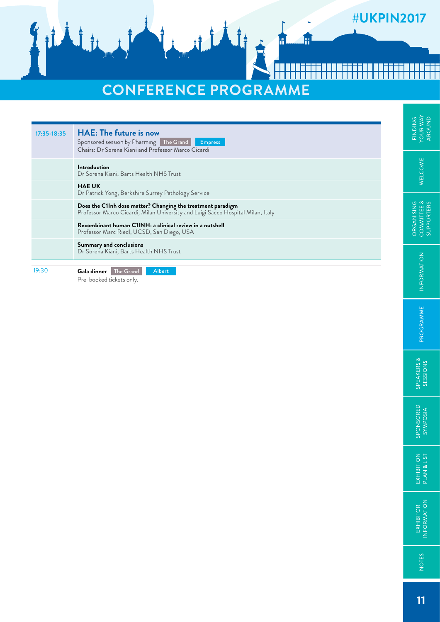### #UKPIN2017

# **Conference programme**

W

### FINDING<br>YOUR WAY<br>AROUND **17:35-18:35 HAE: The future is now** Sponsored session by Pharming The Grand **Empress** Chairs: Dr Sorena Kiani and Professor Marco Cicardi **WELCOME Introduction** Dr Sorena Kiani, Barts Health NHS Trust **HAE UK**  Dr Patrick Yong, Berkshire Surrey Pathology Service ORGANISING<br>COMMITTEE &<br>SUPPORTERS **Does the C1Inh dose matter? Changing the treatment paradigm**  Professor Marco Cicardi, Milan University and Luigi Sacco Hospital Milan, Italy **Recombinant human C1INH: a clinical review in a nutshell** Professor Marc Riedl, UCSD, San Diego, USA **Summary and conclusions** Dr Sorena Kiani, Barts Health NHS Trust INFORMATION 19:30 **Gala dinner** The Grand Albert Pre-booked tickets only.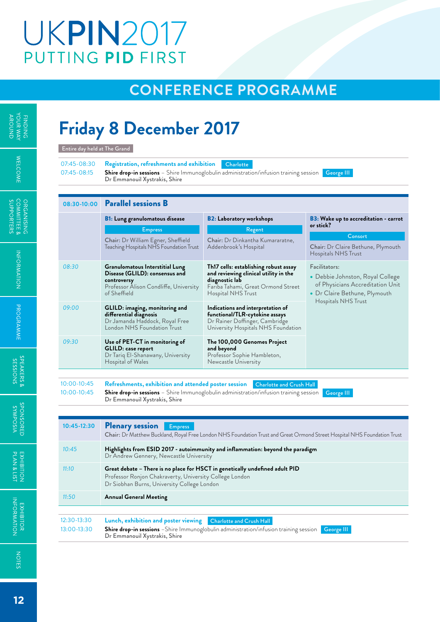# **UKPIN2017** PUTTING PID FIRST

### **Conference programme**

## **Friday 8 December 2017**

| 07:45-08:30<br>07:45-08:15 | Registration, refreshments and exhibition<br>Dr Emmanouil Xystrakis, Shire                                                                 | Charlotte<br>Shire drop-in sessions - Shire Immunoglobulin administration/infusion training session                                                          | George III                                                                                                             |  |  |
|----------------------------|--------------------------------------------------------------------------------------------------------------------------------------------|--------------------------------------------------------------------------------------------------------------------------------------------------------------|------------------------------------------------------------------------------------------------------------------------|--|--|
| 08:30-10:00                | <b>Parallel sessions B</b>                                                                                                                 |                                                                                                                                                              |                                                                                                                        |  |  |
|                            | <b>B1:</b> Lung granulomatous disease                                                                                                      | <b>B2: Laboratory workshops</b>                                                                                                                              | <b>B3</b> : Wake up to accreditation - carrot                                                                          |  |  |
|                            | <b>Empress</b>                                                                                                                             | Regent                                                                                                                                                       | or stick?                                                                                                              |  |  |
|                            | Chair: Dr William Egner, Sheffield<br>Teaching Hospitals NHS Foundation Trust                                                              | Chair: Dr Dinkantha Kumararatne,<br>Addenbrook's Hospital                                                                                                    | Consort<br>Chair: Dr Claire Bethune, Plymouth<br>Hospitals NHS Trust                                                   |  |  |
| 08:30                      | Granulomatous Interstitial Lung<br>Disease (GLILD): consensus and<br>controversy<br>Professor Alison Condliffe, University<br>of Sheffield | Th17 cells: establishing robust assay<br>and reviewing clinical utility in the<br>diagnostic lab<br>Fariba Tahami, Great Ormond Street<br>Hospital NHS Trust | Facilitators:<br>• Debbie Johnston, Royal College<br>of Physicians Accreditation Unit<br>• Dr Claire Bethune, Plymouth |  |  |
| 09:00                      | GLILD: imaging, monitoring and<br>differential diagnosis<br>Dr Jamanda Haddock, Royal Free<br>London NHS Foundation Trust                  | Indications and interpretation of<br>functional/TLR-cytokine assays<br>Dr Rainer Doffinger, Cambridge<br>University Hospitals NHS Foundation                 | Hospitals NHS Trust                                                                                                    |  |  |
| 09:30                      | Use of PET-CT in monitoring of<br>GLILD: case report<br>Dr Tariq El-Shanawany, University<br>Hospital of Wales                             | The 100,000 Genomes Project<br>and beyond<br>Professor Sophie Hambleton,<br>Newcastle University                                                             |                                                                                                                        |  |  |
|                            |                                                                                                                                            |                                                                                                                                                              |                                                                                                                        |  |  |
| $10:00 - 10:45$            | Refreshments, exhibition and attended poster session                                                                                       | <b>Charlotte and Crush Hall</b>                                                                                                                              |                                                                                                                        |  |  |
| $10:00 - 10:45$            | Dr Emmanouil Xystrakis, Shire                                                                                                              | Shire drop-in sessions - Shire Immunoglobulin administration/infusion training session                                                                       | George III                                                                                                             |  |  |
|                            |                                                                                                                                            |                                                                                                                                                              |                                                                                                                        |  |  |
| 10:45-12:30                | <b>Plenary session</b><br><b>Empress</b>                                                                                                   | Chair: Dr Matthew Buckland, Royal Free London NHS Foundation Trust and Great Ormond Street Hospital NHS Foundation Trust                                     |                                                                                                                        |  |  |

| 10:45-12:30 | <b>Plenary session</b><br><b>Empress</b><br>Chair: Dr Matthew Buckland, Royal Free London NHS Foundation Trust and Great Ormond Street Hospital NHS Foundation Trust                   |
|-------------|----------------------------------------------------------------------------------------------------------------------------------------------------------------------------------------|
| 10:45       | Highlights from ESID 2017 - autoimmunity and inflammation: beyond the paradigm<br>Dr Andrew Gennery, Newcastle University                                                              |
| 11:10       | Great debate – There is no place for HSCT in genetically undefined adult PID<br>Professor Ronjon Chakraverty, University College London<br>Dr Siobhan Burns, University College London |
| 11:50       | <b>Annual General Meeting</b>                                                                                                                                                          |
|             |                                                                                                                                                                                        |
| 12:30-13:30 | Lunch, exhibition and poster viewing<br><b>Charlotte and Crush Hall</b>                                                                                                                |
| 13:00-13:30 | <b>Shire drop-in sessions</b> -Shire Immunoglobulin administration/infusion training session<br>George III<br>Dr Emmanouil Xystrakis, Shire                                            |

÷,